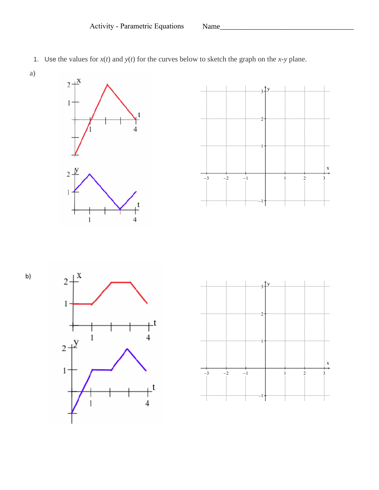

1. Use the values for  $x(t)$  and  $y(t)$  for the curves below to sketch the graph on the *x*-*y* plane.









a)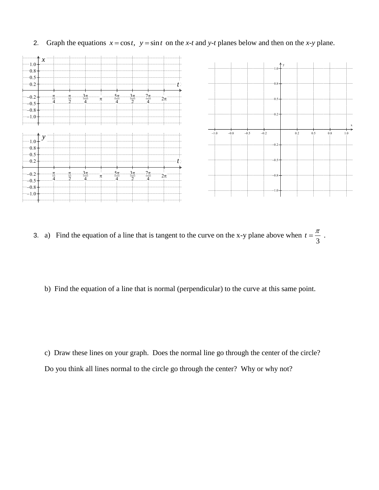

2. Graph the equations  $x = \cos t$ ,  $y = \sin t$  on the *x*-*t* and *y*-*t* planes below and then on the *x*-*y* plane.

- 3. a) Find the equation of a line that is tangent to the curve on the x-y plane above when 3  $t=\frac{\pi}{2}$ .
	- b) Find the equation of a line that is normal (perpendicular) to the curve at this same point.

c) Draw these lines on your graph. Does the normal line go through the center of the circle? Do you think all lines normal to the circle go through the center? Why or why not?